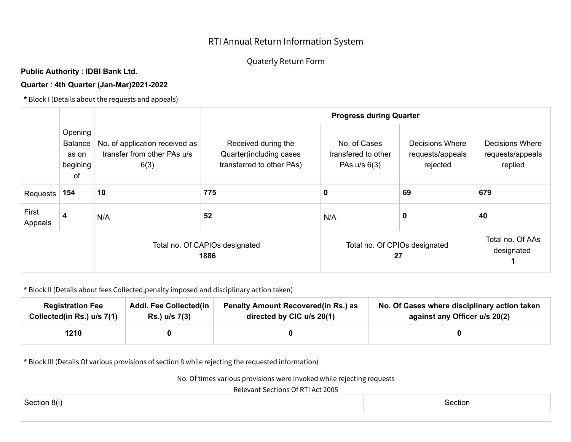## RTI Annual Return Information System

## Quaterly Return Form

## **Public Authority** : **IDBI Bank Ltd.**

## **Quarter** : **4th Quarter (Jan-Mar)2021-2022**

**\*** Block I (Details about the requests and appeals)

|                  |                                                      |                                                                       | <b>Progress during Quarter</b>                                              |                                                       |                                                 |                                                |  |  |  |
|------------------|------------------------------------------------------|-----------------------------------------------------------------------|-----------------------------------------------------------------------------|-------------------------------------------------------|-------------------------------------------------|------------------------------------------------|--|--|--|
|                  | Opening<br><b>Balance</b><br>as on<br>begining<br>of | No. of application received as<br>transfer from other PAs u/s<br>6(3) | Received during the<br>Quarter(including cases<br>transferred to other PAs) | No. of Cases<br>transfered to other<br>PAs $u/s$ 6(3) | Decisions Where<br>requests/appeals<br>rejected | Decisions Where<br>requests/appeals<br>replied |  |  |  |
| Requests         | 154                                                  | 10                                                                    | 775                                                                         | 0                                                     | 69                                              | 679                                            |  |  |  |
| First<br>Appeals | 4                                                    | N/A                                                                   | 52                                                                          | N/A                                                   | 0                                               | 40                                             |  |  |  |
|                  |                                                      | Total no. Of CAPIOs designated<br>1886                                |                                                                             | Total no. Of CPIOs designated<br>27                   | Total no. Of AAs<br>designated                  |                                                |  |  |  |

**\*** Block II (Details about fees Collected,penalty imposed and disciplinary action taken)

| <b>Registration Fee</b>    | <b>Addl. Fee Collected(in</b> | <b>Penalty Amount Recovered (in Rs.) as</b> | No. Of Cases where disciplinary action taken |
|----------------------------|-------------------------------|---------------------------------------------|----------------------------------------------|
| Collected(in Rs.) u/s 7(1) | Rs.) u/s 7(3)                 | directed by CIC u/s 20(1)                   | against any Officer u/s 20(2)                |
| 1210                       |                               |                                             |                                              |

**\*** Block III (Details Of various provisions of section 8 while rejecting the requested information)

No. Of times various provisions were invoked while rejecting requests

Relevant Sections Of RTI Act 2005

| Section 8(i) | Section |
|--------------|---------|
|              |         |